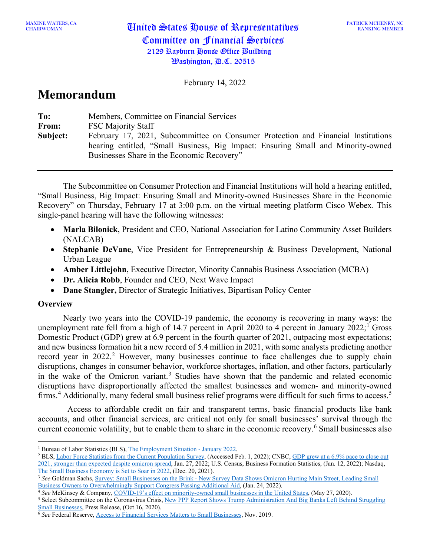MAXINE WATERS, CA<br>CHAIRWOMAN

February 14, 2022

# **Memorandum**

| To:      | Members, Committee on Financial Services                                                                                                                                                                            |
|----------|---------------------------------------------------------------------------------------------------------------------------------------------------------------------------------------------------------------------|
| From:    | <b>FSC Majority Staff</b>                                                                                                                                                                                           |
| Subject: | February 17, 2021, Subcommittee on Consumer Protection and Financial Institutions<br>hearing entitled, "Small Business, Big Impact: Ensuring Small and Minority-owned<br>Businesses Share in the Economic Recovery" |

The Subcommittee on Consumer Protection and Financial Institutions will hold a hearing entitled, "Small Business, Big Impact: Ensuring Small and Minority-owned Businesses Share in the Economic Recovery" on Thursday, February 17 at 3:00 p.m. on the virtual meeting platform Cisco Webex. This single-panel hearing will have the following witnesses:

- **Marla Bilonick**, President and CEO, National Association for Latino Community Asset Builders (NALCAB)
- **Stephanie DeVane**, Vice President for Entrepreneurship & Business Development, National Urban League
- **Amber Littlejohn**, Executive Director, Minority Cannabis Business Association (MCBA)
- **Dr. Alicia Robb**, Founder and CEO, Next Wave Impact
- **Dane Stangler,** Director of Strategic Initiatives, Bipartisan Policy Center

## **Overview**

Nearly two years into the COVID-19 pandemic, the economy is recovering in many ways: the unemployment rate fell from a high of [1](#page-0-0)4.7 percent in April 2020 to 4 percent in January 2022;<sup>1</sup> Gross Domestic Product (GDP) grew at 6.9 percent in the fourth quarter of 2021, outpacing most expectations; and new business formation hit a new record of 5.4 million in 2021, with some analysts predicting another record year in [2](#page-0-1)022.<sup>2</sup> However, many businesses continue to face challenges due to supply chain disruptions, changes in consumer behavior, workforce shortages, inflation, and other factors, particularly in the wake of the Omicron variant.<sup>[3](#page-0-2)</sup> Studies have shown that the pandemic and related economic disruptions have disproportionally affected the smallest businesses and women- and minority-owned firms.<sup>[4](#page-0-3)</sup> Additionally, many federal small business relief programs were difficult for such firms to access.<sup>[5](#page-0-4)</sup>

Access to affordable credit on fair and transparent terms, basic financial products like bank accounts, and other financial services, are critical not only for small businesses' survival through the current economic volatility, but to enable them to share in the economic recovery. [6](#page-0-5) Small businesses also

<span id="page-0-0"></span><sup>1</sup> Bureau of Labor Statistics (BLS)[, The Employment Situation -](https://www.bls.gov/news.release/pdf/empsit.pdf) January 2022.

<span id="page-0-1"></span><sup>&</sup>lt;sup>2</sup> BLS[, Labor Force Statistics from the Current Population Survey,](https://data.bls.gov/timeseries/LNS14000000) (Accessed Feb. 1, 2022); CNBC, GDP grew at a 6.9% pace to close out [2021, stronger than expected despite omicron spread,](https://www.cnbc.com/2022/01/27/gdp-grew-at-a-6point9percent-pace-to-close-out-2021-stronger-than-expected-despite-omicron-spread.html) Jan. 27, 2022; U.S. Census, Business Formation Statistics, (Jan. 12, 2022); Nasdaq, [The Small Business Economy is Set to Soar in 2022,](https://www.nasdaq.com/articles/the-small-business-economy-is-set-to-soar-in-2022) (Dec. 20, 2021).

<span id="page-0-2"></span><sup>&</sup>lt;sup>3</sup> See Goldman Sachs, Survey: Small Businesses on the Brink - New Survey Data Shows Omicron Hurting Main Street, Leading Small [Business Owners to Overwhelmingly Support Congress Passing Additional Aid,](https://www.goldmansachs.com/citizenship/10000-small-businesses/US/infographics/small-businesses-on-the-brink/index.html) (Jan. 24, 2022).<br><sup>4</sup> See McKinsey & Company, COVID-19's effect on minority-owned small businesses in the United States, (May 27, 2020).

<span id="page-0-3"></span>

<span id="page-0-4"></span><sup>&</sup>lt;sup>5</sup> Select Subcommittee on the Coronavirus Crisis, New PPP Report Shows Trump Administration And Big Banks Left Behind Struggling Small Businesses, Press Release, (Oct 16, 2020). 6 *See* Federal Reserve[, Access to Financial Services Matters to Small Businesses,](https://www.federalreserve.gov/publications/2019-november-consumer-community-context.htm#f4) Nov. 2019.

<span id="page-0-5"></span>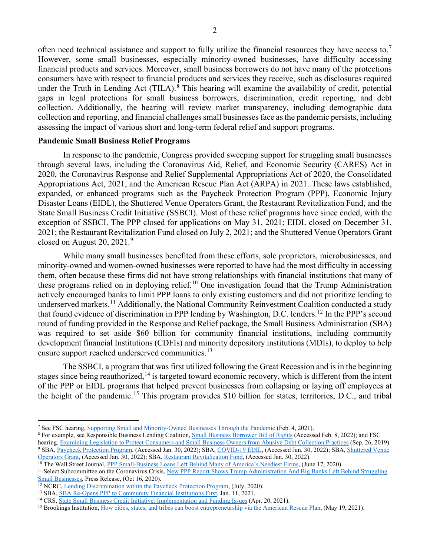often need technical assistance and support to fully utilize the financial resources they have access to.<sup>[7](#page-1-0)</sup> However, some small businesses, especially minority-owned businesses, have difficulty accessing financial products and services. Moreover, small business borrowers do not have many of the protections consumers have with respect to financial products and services they receive, such as disclosures required under the Truth in Lending Act (TILA).<sup>[8](#page-1-1)</sup> This hearing will examine the availability of credit, potential gaps in legal protections for small business borrowers, discrimination, credit reporting, and debt collection. Additionally, the hearing will review market transparency, including demographic data collection and reporting, and financial challenges small businesses face as the pandemic persists, including assessing the impact of various short and long-term federal relief and support programs.

#### **Pandemic Small Business Relief Programs**

In response to the pandemic, Congress provided sweeping support for struggling small businesses through several laws, including the Coronavirus Aid, Relief, and Economic Security (CARES) Act in 2020, the Coronavirus Response and Relief Supplemental Appropriations Act of 2020, the Consolidated Appropriations Act, 2021, and the American Rescue Plan Act (ARPA) in 2021. These laws established, expanded, or enhanced programs such as the Paycheck Protection Program (PPP), Economic Injury Disaster Loans (EIDL), the Shuttered Venue Operators Grant, the Restaurant Revitalization Fund, and the State Small Business Credit Initiative (SSBCI). Most of these relief programs have since ended, with the exception of SSBCI. The PPP closed for applications on May 31, 2021; EIDL closed on December 31, 2021; the Restaurant Revitalization Fund closed on July 2, 2021; and the Shuttered Venue Operators Grant closed on August 20, 2021. [9](#page-1-2)

While many small businesses benefited from these efforts, sole proprietors, microbusinesses, and minority-owned and women-owned businesses were reported to have had the most difficulty in accessing them, often because these firms did not have strong relationships with financial institutions that many of these programs relied on in deploying relief.<sup>[10](#page-1-3)</sup> One investigation found that the Trump Administration actively encouraged banks to limit PPP loans to only existing customers and did not prioritize lending to underserved markets.<sup>[11](#page-1-4)</sup> Additionally, the National Community Reinvestment Coalition conducted a study that found evidence of discrimination in PPP lending by Washington, D.C. lenders.[12](#page-1-5) In the PPP's second round of funding provided in the Response and Relief package, the Small Business Administration (SBA) was required to set aside \$60 billion for community financial institutions, including community development financial Institutions (CDFIs) and minority depository institutions (MDIs), to deploy to help ensure support reached underserved communities.<sup>[13](#page-1-6)</sup>

The SSBCI, a program that was first utilized following the Great Recession and is in the beginning stages since being reauthorized,<sup>[14](#page-1-7)</sup> is targeted toward economic recovery, which is different from the intent of the PPP or EIDL programs that helped prevent businesses from collapsing or laying off employees at the height of the pandemic.<sup>[15](#page-1-8)</sup> This program provides \$10 billion for states, territories, D.C., and tribal

<span id="page-1-0"></span><sup>7</sup> See FSC hearing[, Supporting Small and Minority-Owned Businesses Through the Pandemic](https://financialservices.house.gov/events/eventsingle.aspx?EventID=407099) (Feb. 4, 2021).

<span id="page-1-1"></span><sup>&</sup>lt;sup>8</sup> For example, see Responsible Business Lending Coalition[, Small Business Borrower Bill of Rights](http://www.borrowersbillofrights.org/) (Accessed Feb. 8, 2022); and FSC hearing[, Examining Legislation to Protect Consumers and Small Business Owners from Abusive Debt Collection Practices](https://financialservices.house.gov/events/eventsingle.aspx?EventID=404239) (Sep. 26, 2019). <sup>9</sup> SBA, [Paycheck Protection Program,](https://www.sba.gov/funding-programs/loans/covid-19-relief-options/paycheck-protection-program) (Accessed Jan. 30, 2022); SBA[, COVID-19 EDIL,](https://www.sba.gov/funding-programs/loans/covid-19-relief-options/eidl/targeted-eidl-advance-supplemental-targeted-advance) (Accessed Jan. 30, 2022); SBA[, Shuttered Venue](https://www.sba.gov/funding-programs/loans/covid-19-relief-options/shuttered-venue-operators-grant)  [Operators Grant,](https://www.sba.gov/funding-programs/loans/covid-19-relief-options/shuttered-venue-operators-grant) (Accessed Jan. 30, 2022); SBA[, Restaurant Revitalization Fund,](https://www.sba.gov/funding-programs/loans/covid-19-relief-options/restaurant-revitalization-fund) (Accessed Jan. 30, 2022).

<span id="page-1-3"></span><span id="page-1-2"></span><sup>&</sup>lt;sup>10</sup> The Wall Street Journal, **PPP Small-Business Loans Left Behind Many of America's Neediest Firms**, (June 17, 2020).

<span id="page-1-4"></span><sup>&</sup>lt;sup>11</sup> Select Subcommittee on the Coronavirus Crisis, New PPP Report Shows Trump Administration And Big Banks Left Behind Struggling [Small Businesses,](https://coronavirus.house.gov/news/press-releases/new-ppp-report-shows-trump-administration-and-big-banks-left-behind-struggling) Press Release, (Oct 16, 2020).<br><sup>12</sup> NCRC, Lending Discrimination within the Paycheck Protection Program, (July, 2020).

<span id="page-1-6"></span><span id="page-1-5"></span><sup>&</sup>lt;sup>13</sup> SBA, [SBA Re-Opens PPP to Community Financial Institutions First,](https://www.sba.gov/article/2021/jan/11/sba-re-opens-ppp-community-financial-institutions-first) Jan. 11, 2021.

<span id="page-1-7"></span><sup>14</sup> CRS, [State Small Business Credit Initiative: Implementation and Funding Issues](https://www.crs.gov/Reports/R42581) (Apr. 20, 2021).

<span id="page-1-8"></span><sup>&</sup>lt;sup>15</sup> Brookings Institution[, How cities, states, and tribes can boost entrepreneurship via the American Rescue Plan,](https://www.brookings.edu/research/how-cities-states-and-tribes-can-boost-entrepreneurship-via-the-american-rescue-plan/) (May 19, 2021).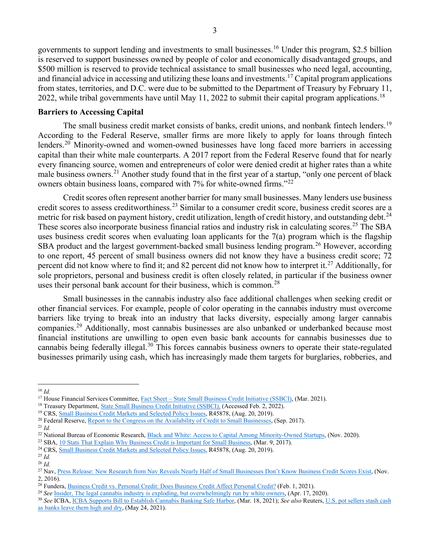governments to support lending and investments to small businesses. [16](#page-2-0) Under this program, \$2.5 billion is reserved to support businesses owned by people of color and economically disadvantaged groups, and \$500 million is reserved to provide technical assistance to small businesses who need legal, accounting, and financial advice in accessing and utilizing these loans and investments. [17](#page-2-1) Capital program applications from states, territories, and D.C. were due to be submitted to the Department of Treasury by February 11, 2022, while tribal governments have until May 11, 2022 to submit their capital program applications.<sup>[18](#page-2-2)</sup>

### **Barriers to Accessing Capital**

The small business credit market consists of banks, credit unions, and nonbank fintech lenders.<sup>[19](#page-2-3)</sup> According to the Federal Reserve, smaller firms are more likely to apply for loans through fintech lenders.[20](#page-2-4) Minority-owned and women-owned businesses have long faced more barriers in accessing capital than their white male counterparts. A 2017 report from the Federal Reserve found that for nearly every financing source, women and entrepreneurs of color were denied credit at higher rates than a white male business owners.<sup>[21](#page-2-5)</sup> Another study found that in the first year of a startup, "only one percent of black owners obtain business loans, compared with 7% for white-owned firms."[22](#page-2-6)

Credit scores often represent another barrier for many small businesses. Many lenders use business credit scores to assess creditworthiness.[23](#page-2-7) Similar to a consumer credit score, business credit scores are a metric for risk based on payment history, credit utilization, length of credit history, and outstanding debt.<sup>[24](#page-2-8)</sup> These scores also incorporate business financial ratios and industry risk in calculating scores.<sup>[25](#page-2-9)</sup> The SBA uses business credit scores when evaluating loan applicants for the 7(a) program which is the flagship SBA product and the largest government-backed small business lending program.<sup>[26](#page-2-10)</sup> However, according to one report, 45 percent of small business owners did not know they have a business credit score; 72 percent did not know where to find it; and 82 percent did not know how to interpret it.[27](#page-2-11) Additionally, for sole proprietors, personal and business credit is often closely related, in particular if the business owner uses their personal bank account for their business, which is common.<sup>[28](#page-2-12)</sup>

Small businesses in the cannabis industry also face additional challenges when seeking credit or other financial services. For example, people of color operating in the cannabis industry must overcome barriers like trying to break into an industry that lacks diversity, especially among larger cannabis companies.<sup>[29](#page-2-13)</sup> Additionally, most cannabis businesses are also unbanked or underbanked because most financial institutions are unwilling to open even basic bank accounts for cannabis businesses due to cannabis being federally illegal.<sup>[30](#page-2-14)</sup> This forces cannabis business owners to operate their state-regulated businesses primarily using cash, which has increasingly made them targets for burglaries, robberies, and

<span id="page-2-0"></span><sup>&</sup>lt;sup>16</sup> *Id.*<br><sup>17</sup> House Financial Services Committee, Fact Sheet – State Small Business Credit Initiative (SSBCI), (Mar. 2021).

<span id="page-2-2"></span><span id="page-2-1"></span><sup>&</sup>lt;sup>18</sup> Treasury Department, [State Small Business Credit Initiative \(SSBCI\),](https://financialservices.house.gov/uploadedfiles/recess_packet_ssbci_march_2021.pdf) (Accessed Feb. 2, 2022).<br><sup>19</sup> CRS, [Small Business Credit Markets and Selected Policy Issues,](https://www.crs.gov/Reports/R45878?source=search&guid=9dc7cdcd14b1449092b144bedf0f78a2&index=2) R45878, (Aug. 20, 2019).

<span id="page-2-3"></span>

<span id="page-2-4"></span><sup>&</sup>lt;sup>20</sup> Federal Reserve, [Report to the Congress on the Availability of Credit to](https://www.federalreserve.gov/publications/files/sbfreport2017.pdf) Small Businesses, (Sep. 2017).

<span id="page-2-5"></span><sup>21</sup> *Id.*

<span id="page-2-6"></span><sup>&</sup>lt;sup>22</sup> National Bureau of Economic Research, <u>Black and White: Access to Capital Among Minority-Owned Startups</u>, (Nov. 2020).<br><sup>23</sup> SBA, <u>10 Stats That Explain Why Business Credit is Important for Small Business</u>, (Mar. 9, 20

<span id="page-2-7"></span>

<span id="page-2-8"></span><sup>24</sup> CRS, [Small Business Credit Markets and Selected Policy Issues,](https://www.crs.gov/Reports/R45878?source=search&guid=9dc7cdcd14b1449092b144bedf0f78a2&index=2) R45878, (Aug. 20, 2019).

<span id="page-2-9"></span><sup>25</sup> *Id.*

<span id="page-2-10"></span><sup>26</sup> *Id.*

<span id="page-2-11"></span><sup>&</sup>lt;sup>27</sup> Nav[, Press Release: New Research from Nav Reveals Nearly Half of Small Businesses Don't Know Business Credit Scores Exist,](https://www.nav.com/blog/half-smb-dont-know-business-credit-scores-exist-1587/) (Nov. 2, 2016).

<span id="page-2-12"></span><sup>28</sup> Fundera[, Business Credit vs. Personal Credit: Does Business Credit Affect Personal Credit?](https://www.fundera.com/blog/whats-difference-business-credit-personal-credit) (Feb. 1, 2021).

<span id="page-2-13"></span><sup>29</sup> *See* [Insider, The legal cannabis industry is exploding, but overwhelmingly run by white owners,](https://www.insider.com/how-big-weed-became-rich-white-business-2019-12) (Apr. 17, 2020).

<span id="page-2-14"></span><sup>30</sup> *See* ICBA, [ICBA Supports Bill to Establish](https://www.icba.org/newsroom/news-and-articles/2021/03/18/icba-supports-bill-to-establish-cannabis-banking-safe-harbor#:%7E:text=Washington%2C%20D.C.%20(March%2018%2C,states%20where%20cannabis%20is%20legal.) Cannabis Banking Safe Harbor, (Mar. 18, 2021); *See also* Reuters[, U.S. pot sellers stash cash](https://www.reuters.com/world/us/us-pot-sellers-stash-cash-banks-leave-them-high-dry-2021-05-24/)  [as banks leave them high and dry,](https://www.reuters.com/world/us/us-pot-sellers-stash-cash-banks-leave-them-high-dry-2021-05-24/) (May 24, 2021).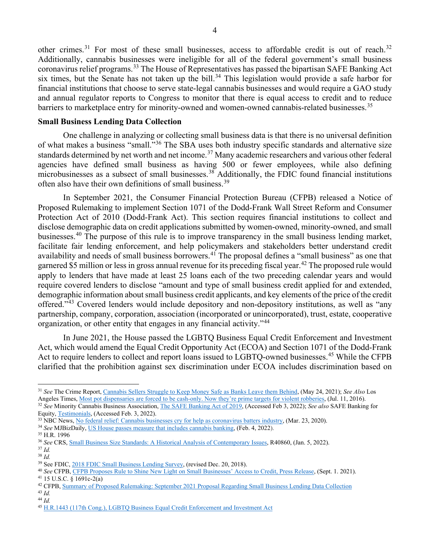other crimes.<sup>[31](#page-3-0)</sup> For most of these small businesses, access to affordable credit is out of reach.<sup>[32](#page-3-1)</sup> Additionally, cannabis businesses were ineligible for all of the federal government's small business coronavirus relief programs. [33](#page-3-2) The House of Representatives has passed the bipartisan SAFE Banking Act six times, but the Senate has not taken up the bill.<sup>[34](#page-3-3)</sup> This legislation would provide a safe harbor for financial institutions that choose to serve state-legal cannabis businesses and would require a GAO study and annual regulator reports to Congress to monitor that there is equal access to credit and to reduce barriers to marketplace entry for minority-owned and women-owned cannabis-related businesses.<sup>[35](#page-3-4)</sup>

### **Small Business Lending Data Collection**

One challenge in analyzing or collecting small business data is that there is no universal definition of what makes a business "small."[36](#page-3-5) The SBA uses both industry specific standards and alternative size standards determined by net worth and net income.<sup>[37](#page-3-6)</sup> Many academic researchers and various other federal agencies have defined small business as having 500 or fewer employees, while also defining microbusinesses as a subsect of small businesses.<sup>[38](#page-3-7)</sup> Additionally, the FDIC found financial institutions often also have their own definitions of small business.<sup>[39](#page-3-8)</sup>

In September 2021, the Consumer Financial Protection Bureau (CFPB) released a Notice of Proposed Rulemaking to implement Section 1071 of the Dodd-Frank Wall Street Reform and Consumer Protection Act of 2010 (Dodd-Frank Act). This section requires financial institutions to collect and disclose demographic data on credit applications submitted by women-owned, minority-owned, and small businesses.[40](#page-3-9) The purpose of this rule is to improve transparency in the small business lending market, facilitate fair lending enforcement, and help policymakers and stakeholders better understand credit availability and needs of small business borrowers.<sup>[41](#page-3-10)</sup> The proposal defines a "small business" as one that garnered \$5 million or less in gross annual revenue for its preceding fiscal year. [42](#page-3-11) The proposed rule would apply to lenders that have made at least 25 loans each of the two preceding calendar years and would require covered lenders to disclose "amount and type of small business credit applied for and extended, demographic information about small business credit applicants, and key elements of the price of the credit offered."[43](#page-3-12) Covered lenders would include depository and non-depository institutions, as well as "any partnership, company, corporation, association (incorporated or unincorporated), trust, estate, cooperative organization, or other entity that engages in any financial activity."[44](#page-3-13)

In June 2021, the House passed the LGBTQ Business Equal Credit Enforcement and Investment Act, which would amend the Equal Credit Opportunity Act (ECOA) and Section 1071 of the Dodd-Frank Act to require lenders to collect and report loans issued to LGBTQ-owned businesses.<sup>[45](#page-3-14)</sup> While the CFPB clarified that the prohibition against sex discrimination under ECOA includes discrimination based on

<span id="page-3-3"></span>

<span id="page-3-0"></span><sup>31</sup> *See* The Crime Report, [Cannabis Sellers Struggle to Keep Money Safe as Banks Leave them Behind,](https://thecrimereport.org/2021/05/24/cannabis-sellers-struggle-to-keep-money-safe-as-banks-leave-them-behind/) (May 24, 2021); *See Also* Los Angeles Times[, Most pot dispensaries are forced to be cash-only. Now they're prime targets for violent robberies,](https://www.latimes.com/nation/la-na-pot-shops-20160711-snap-story.html) (Jul. 11, 2016).

<span id="page-3-1"></span><sup>32</sup> *See* Minority Cannabis Business Association[, The SAFE Banking Act of 2019,](https://minoritycannabis.org/wp-content/uploads/2021/10/SAFE-Banking-Act-of-2019.pdf) (Accessed Feb 3, 2022); *See also* SAFE Banking for Equity[, Testimonials,](https://safe4equity.org/#testimonials) (Accessed Feb. 3, 2022).

<span id="page-3-2"></span><sup>33</sup> NBC News, [No federal relief: Cannabis businesses cry for help as coronavirus batters industry,](https://www.nbcnews.com/politics/politics-news/no-federal-relief-cannabis-businesses-cry-help-coronavirus-batters-industry-n1180641) (Mar. 23, 2020). 34 *See* MJBizDaily[, US House passes measure that includes cannabis banking,](https://mjbizdaily.com/us-house-passes-measure-that-includes-cannabis-banking/) (Feb. 4, 2022).

<span id="page-3-4"></span><sup>35</sup> H.R. 1996

<span id="page-3-5"></span><sup>36</sup> *See* CRS[, Small Business Size Standards: A Historical Analysis of Contemporary Issues,](https://www.crs.gov/Reports/R40860) R40860, (Jan. 5, 2022). <sup>37</sup> *Id.*

<span id="page-3-7"></span><span id="page-3-6"></span><sup>38</sup> *Id.*

<span id="page-3-8"></span><sup>&</sup>lt;sup>39</sup> See FDIC[, 2018 FDIC Small Business Lending Survey,](https://www.fdic.gov/bank/historical/sbls/full-survey.pdf) (revised Dec. 20, 2018).

<span id="page-3-9"></span><sup>40</sup> *See* CFPB, CFPB [Proposes Rule to Shine New Light on Small Businesses' Access to Credit, Press Release,](https://www.consumerfinance.gov/about-us/newsroom/cfpb-proposes-rule-to-shine-new-light-on-small-businesses-access-to-credit/) (Sept. 1. 2021).  $41$  15 U.S.C.  $\sqrt[3]{1691c-2(a)}$ 

<span id="page-3-11"></span><span id="page-3-10"></span><sup>42</sup> CFPB, [Summary of Proposed Rulemaking: September 2021 Proposal Regarding Small Business Lending Data Collection](https://files.consumerfinance.gov/f/documents/cfpb_section-1071-nprm_summary_2021-09.pdf) <sup>43</sup> *Id.*

<span id="page-3-13"></span><span id="page-3-12"></span><sup>44</sup> *Id.*

<span id="page-3-14"></span><sup>45</sup> [H.R.1443 \(117th Cong.\), LGBTQ Business Equal Credit Enforcement and Investment Act](https://www.congress.gov/bill/117th-congress/house-bill/1443/text?q=%7B%22search%22%3A%5B%22archives%22%5D%7D&r=57&s=1)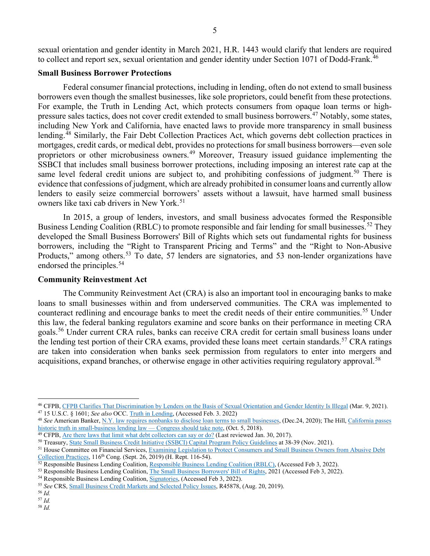#### **Small Business Borrower Protections**

Federal consumer financial protections, including in lending, often do not extend to small business borrowers even though the smallest businesses, like sole proprietors, could benefit from these protections. For example, the Truth in Lending Act, which protects consumers from opaque loan terms or high-pressure sales tactics, does not cover credit extended to small business borrowers.<sup>[47](#page-4-1)</sup> Notably, some states, including New York and California, have enacted laws to provide more transparency in small business lending.<sup>[48](#page-4-2)</sup> Similarly, the Fair Debt Collection Practices Act, which governs debt collection practices in mortgages, credit cards, or medical debt, provides no protections for small business borrowers—even sole proprietors or other microbusiness owners.<sup>[49](#page-4-3)</sup> Moreover, Treasury issued guidance implementing the SSBCI that includes small business borrower protections, including imposing an interest rate cap at the same level federal credit unions are subject to, and prohibiting confessions of judgment.<sup>[50](#page-4-4)</sup> There is evidence that confessions of judgment, which are already prohibited in consumer loans and currently allow lenders to easily seize commercial borrowers' assets without a lawsuit, have harmed small business owners like taxi cab drivers in New York.<sup>[51](#page-4-5)</sup>

In 2015, a group of lenders, investors, and small business advocates formed the Responsible Business Lending Coalition (RBLC) to promote responsible and fair lending for small businesses.<sup>[52](#page-4-6)</sup> They developed the Small Business Borrowers' Bill of Rights which sets out fundamental rights for business borrowers, including the "Right to Transparent Pricing and Terms" and the "Right to Non-Abusive Products," among others.<sup>[53](#page-4-7)</sup> To date, 57 lenders are signatories, and 53 non-lender organizations have endorsed the principles.<sup>[54](#page-4-8)</sup>

#### **Community Reinvestment Act**

The Community Reinvestment Act (CRA) is also an important tool in encouraging banks to make loans to small businesses within and from underserved communities. The CRA was implemented to counteract redlining and encourage banks to meet the credit needs of their entire communities.<sup>[55](#page-4-9)</sup> Under this law, the federal banking regulators examine and score banks on their performance in meeting CRA goals.[56](#page-4-10) Under current CRA rules, banks can receive CRA credit for certain small business loans under the lending test portion of their CRA exams, provided these loans meet certain standards.<sup>[57](#page-4-11)</sup> CRA ratings are taken into consideration when banks seek permission from regulators to enter into mergers and acquisitions, expand branches, or otherwise engage in other activities requiring regulatory approval.<sup>[58](#page-4-12)</sup>

<span id="page-4-1"></span><sup>47</sup> 15 U.S.C. § 1601; *See also* OCC[. Truth in Lending,](https://www.occ.treas.gov/topics/consumers-and-communities/consumer-protection/truth-in-lending/index-truth-in-lending.html#:%7E:text=The%20Truth%20in%20Lending%20Act,for%20certain%20types%20of%20loans.) (Accessed Feb. 3. 2022)

<span id="page-4-2"></span>48 *See* American Banker[, N.Y. law requires nonbanks to disclose loan terms to small businesses,](https://www.americanbanker.com/news/n-y-law-requires-nonbanks-to-disclose-loan-terms-to-small-businesses) (Dec.24, 2020); The Hill, [California passes](https://thehill.com/blogs/congress-blog/politics/410049-california-passes-historic-truth-in-small-business-lending-law?rl=1) historic truth in small-business lending law — Congress should take note, (Oct. 5

<span id="page-4-12"></span><sup>58</sup> *Id.*

<span id="page-4-0"></span><sup>46</sup> CFPB, [CFPB Clarifies That Discrimination by Lenders on the Basis of Sexual Orientation and Gender Identity Is Illegal](https://www.consumerfinance.gov/about-us/newsroom/cfpb-clarifies-discrimination-by-lenders-on-basis-of-sexual-orientation-and-gender-identity-is-illegal/) (Mar. 9, 2021).

<span id="page-4-3"></span><sup>&</sup>lt;sup>49</sup> CFPB, <u>Are there laws that limit what debt collectors can say or do?</u> (Last reviewed Jan. 30, 2017).

<span id="page-4-4"></span><sup>50</sup> Treasury[, State Small Business Credit Initiative \(SSBCI\) Capital Program Policy Guidelines](https://home.treasury.gov/system/files/256/SSBCI-Capital-Program-Policy-Guidelines-November-2021.pdf) at 38-39 (Nov. 2021).

<span id="page-4-5"></span><sup>51</sup> House Committee on Financial Services, Examining Legislation to Protect Consumers and Small Business Owners from Abusive Debt [Collection Practices,](https://financialservices.house.gov/events/eventsingle.aspx?EventID=404239) 116<sup>th</sup> Cong. (Sept. 26, 2019) (H. Rept. 116-54).

<span id="page-4-6"></span><sup>52</sup> Responsible Business Lending Coalition, [Responsible Business Lending Coalition \(RBLC\),](http://www.borrowersbillofrights.org/rblc.html) (Accessed Feb 3, 2022).

<span id="page-4-7"></span><sup>53</sup> Responsible Business Lending Coalition, [The Small Business Borrowers' Bill of Rights,](http://www.borrowersbillofrights.org/bill-of-rights.html) 2021 (Accessed Feb 3, 2022).

<span id="page-4-8"></span><sup>&</sup>lt;sup>54</sup> Responsible Business Lending Coalition, **Signatories**, (Accessed Feb 3, 2022).

<span id="page-4-9"></span><sup>55</sup> *See* CRS[, Small Business Credit Markets and Selected Policy Issues,](https://www.crs.gov/Reports/R45878?source=search&guid=9dc7cdcd14b1449092b144bedf0f78a2&index=2) R45878, (Aug. 20, 2019).

<sup>56</sup> *Id.*

<span id="page-4-11"></span><span id="page-4-10"></span><sup>57</sup> *Id.*